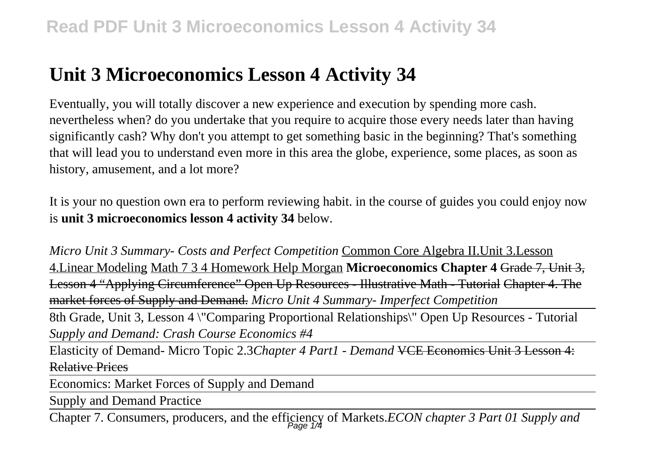## **Unit 3 Microeconomics Lesson 4 Activity 34**

Eventually, you will totally discover a new experience and execution by spending more cash. nevertheless when? do you undertake that you require to acquire those every needs later than having significantly cash? Why don't you attempt to get something basic in the beginning? That's something that will lead you to understand even more in this area the globe, experience, some places, as soon as history, amusement, and a lot more?

It is your no question own era to perform reviewing habit. in the course of guides you could enjoy now is **unit 3 microeconomics lesson 4 activity 34** below.

*Micro Unit 3 Summary- Costs and Perfect Competition* Common Core Algebra II.Unit 3.Lesson 4.Linear Modeling Math 7 3 4 Homework Help Morgan **Microeconomics Chapter 4** Grade 7, Unit 3, Lesson 4 "Applying Circumference" Open Up Resources - Illustrative Math - Tutorial Chapter 4. The market forces of Supply and Demand. *Micro Unit 4 Summary- Imperfect Competition*

8th Grade, Unit 3, Lesson 4 \"Comparing Proportional Relationships\" Open Up Resources - Tutorial *Supply and Demand: Crash Course Economics #4*

Elasticity of Demand- Micro Topic 2.3*Chapter 4 Part1 - Demand* VCE Economics Unit 3 Lesson 4: Relative Prices

Economics: Market Forces of Supply and Demand

Supply and Demand Practice

Chapter 7. Consumers, producers, and the efficiency of Markets.*ECON chapter 3 Part 01 Supply and* Page 1/4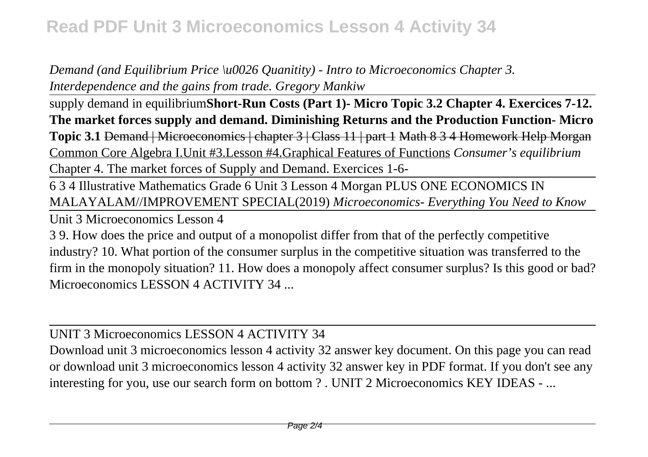## **Read PDF Unit 3 Microeconomics Lesson 4 Activity 34**

*Demand (and Equilibrium Price \u0026 Quanitity) - Intro to Microeconomics Chapter 3. Interdependence and the gains from trade. Gregory Mankiw*

supply demand in equilibrium**Short-Run Costs (Part 1)- Micro Topic 3.2 Chapter 4. Exercices 7-12. The market forces supply and demand. Diminishing Returns and the Production Function- Micro Topic 3.1** Demand | Microeconomics | chapter 3 | Class 11 | part 1 Math 8 3 4 Homework Help Morgan Common Core Algebra I.Unit #3.Lesson #4.Graphical Features of Functions *Consumer's equilibrium* Chapter 4. The market forces of Supply and Demand. Exercices 1-6-

6 3 4 Illustrative Mathematics Grade 6 Unit 3 Lesson 4 Morgan PLUS ONE ECONOMICS IN MALAYALAM//IMPROVEMENT SPECIAL(2019) *Microeconomics- Everything You Need to Know*

Unit 3 Microeconomics Lesson 4

3 9. How does the price and output of a monopolist differ from that of the perfectly competitive industry? 10. What portion of the consumer surplus in the competitive situation was transferred to the firm in the monopoly situation? 11. How does a monopoly affect consumer surplus? Is this good or bad? Microeconomics LESSON 4 ACTIVITY 34 ...

UNIT 3 Microeconomics LESSON 4 ACTIVITY 34

Download unit 3 microeconomics lesson 4 activity 32 answer key document. On this page you can read or download unit 3 microeconomics lesson 4 activity 32 answer key in PDF format. If you don't see any interesting for you, use our search form on bottom ? . UNIT 2 Microeconomics KEY IDEAS - ...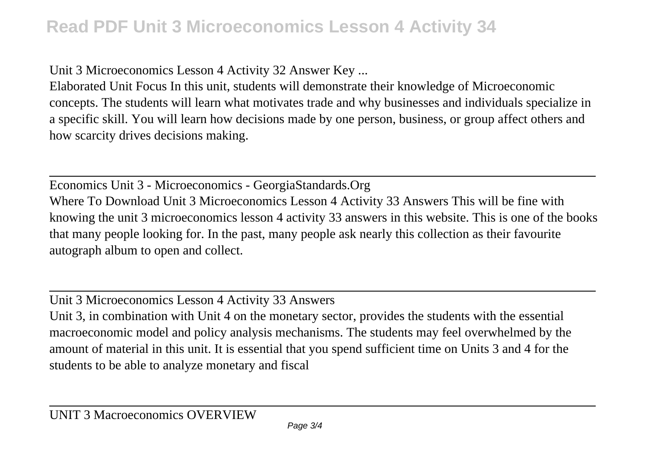## **Read PDF Unit 3 Microeconomics Lesson 4 Activity 34**

Unit 3 Microeconomics Lesson 4 Activity 32 Answer Key ...

Elaborated Unit Focus In this unit, students will demonstrate their knowledge of Microeconomic concepts. The students will learn what motivates trade and why businesses and individuals specialize in a specific skill. You will learn how decisions made by one person, business, or group affect others and how scarcity drives decisions making.

Economics Unit 3 - Microeconomics - GeorgiaStandards.Org Where To Download Unit 3 Microeconomics Lesson 4 Activity 33 Answers This will be fine with knowing the unit 3 microeconomics lesson 4 activity 33 answers in this website. This is one of the books that many people looking for. In the past, many people ask nearly this collection as their favourite autograph album to open and collect.

Unit 3 Microeconomics Lesson 4 Activity 33 Answers

Unit 3, in combination with Unit 4 on the monetary sector, provides the students with the essential macroeconomic model and policy analysis mechanisms. The students may feel overwhelmed by the amount of material in this unit. It is essential that you spend sufficient time on Units 3 and 4 for the students to be able to analyze monetary and fiscal